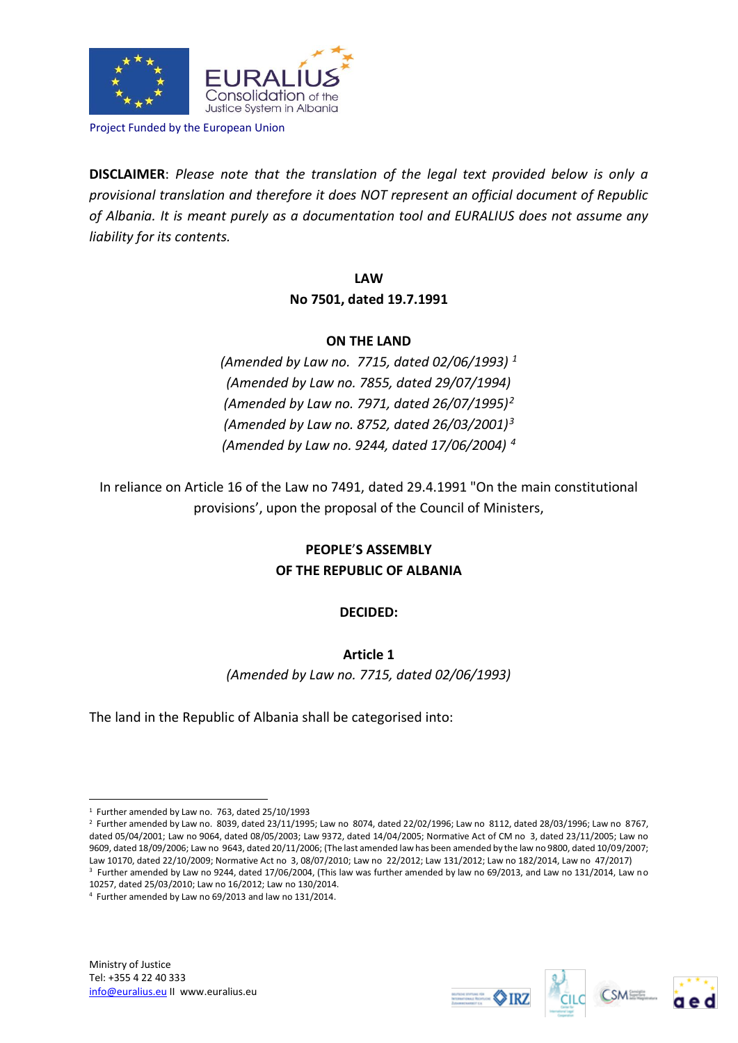

Project Funded by the European Union

**DISCLAIMER**: *Please note that the translation of the legal text provided below is only a provisional translation and therefore it does NOT represent an official document of Republic of Albania. It is meant purely as a documentation tool and EURALIUS does not assume any liability for its contents.*

> **LAW No 7501, dated 19.7.1991**

### **ON THE LAND**

*(Amended by Law no. 7715, dated 02/06/1993) <sup>1</sup> (Amended by Law no. 7855, dated 29/07/1994) (Amended by Law no. 7971, dated 26/07/1995)<sup>2</sup> (Amended by Law no. 8752, dated 26/03/2001)<sup>3</sup> (Amended by Law no. 9244, dated 17/06/2004) <sup>4</sup>*

In reliance on Article 16 of the Law no 7491, dated 29.4.1991 "On the main constitutional provisions', upon the proposal of the Council of Ministers,

# **PEOPLE**'**S ASSEMBLY OF THE REPUBLIC OF ALBANIA**

## **DECIDED:**

## **Article 1**

*(Amended by Law no. 7715, dated 02/06/1993)*

The land in the Republic of Albania shall be categorised into:







<sup>1</sup> 1 Further amended by Law no. 763, dated 25/10/1993

<sup>2</sup> Further amended by Law no. 8039, dated 23/11/1995; Law no 8074, dated 22/02/1996; Law no 8112, dated 28/03/1996; Law no 8767, dated 05/04/2001; Law no 9064, dated 08/05/2003; Law 9372, dated 14/04/2005; Normative Act of CM no 3, dated 23/11/2005; Law no 9609, dated 18/09/2006; Law no 9643, dated 20/11/2006; (The last amended law has been amended by the law no 9800, dated 10/09/2007; Law 10170, dated 22/10/2009; Normative Act no 3, 08/07/2010; Law no 22/2012; Law 131/2012; Law no 182/2014, Law no 47/2017) 3 Further amended by Law no 9244, dated 17/06/2004, (This law was further amended by law no 69/2013, and Law no 131/2014, Law no 10257, dated 25/03/2010; Law no 16/2012; Law no 130/2014.

<sup>4</sup> Further amended by Law no 69/2013 and law no 131/2014.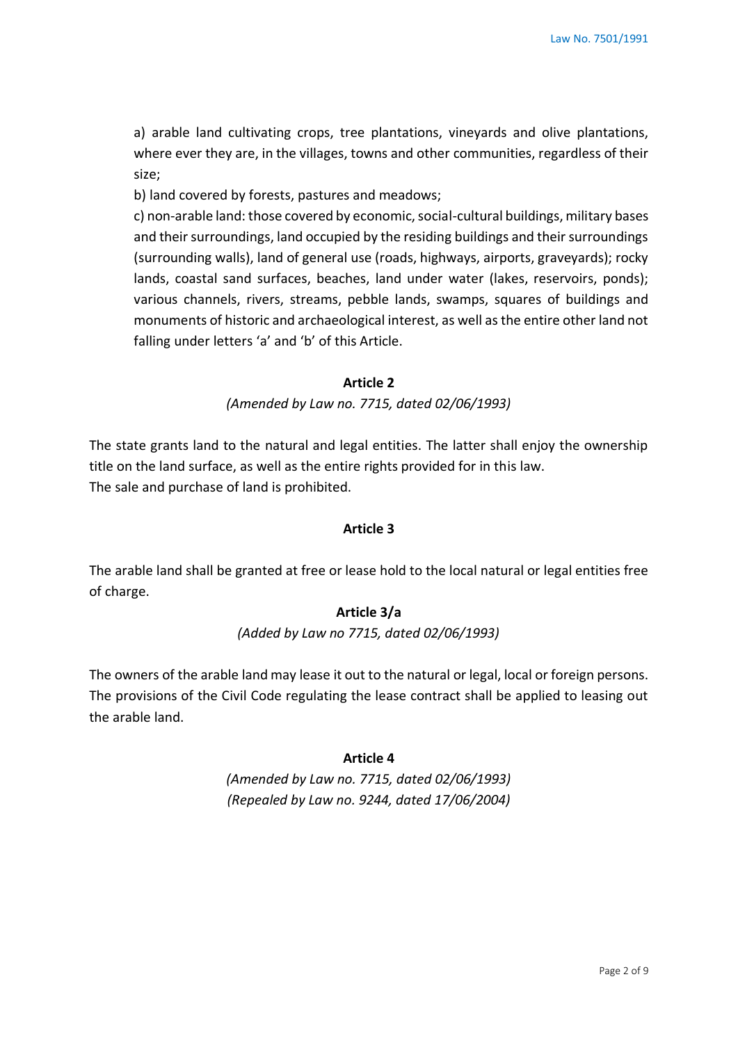a) arable land cultivating crops, tree plantations, vineyards and olive plantations, where ever they are, in the villages, towns and other communities, regardless of their size;

b) land covered by forests, pastures and meadows;

c) non-arable land: those covered by economic, social-cultural buildings, military bases and their surroundings, land occupied by the residing buildings and their surroundings (surrounding walls), land of general use (roads, highways, airports, graveyards); rocky lands, coastal sand surfaces, beaches, land under water (lakes, reservoirs, ponds); various channels, rivers, streams, pebble lands, swamps, squares of buildings and monuments of historic and archaeological interest, as well as the entire other land not falling under letters 'a' and 'b' of this Article.

#### **Article 2**

*(Amended by Law no. 7715, dated 02/06/1993)*

The state grants land to the natural and legal entities. The latter shall enjoy the ownership title on the land surface, as well as the entire rights provided for in this law. The sale and purchase of land is prohibited.

### **Article 3**

The arable land shall be granted at free or lease hold to the local natural or legal entities free of charge.

## **Article 3/a**

*(Added by Law no 7715, dated 02/06/1993)*

The owners of the arable land may lease it out to the natural or legal, local or foreign persons. The provisions of the Civil Code regulating the lease contract shall be applied to leasing out the arable land.

#### **Article 4**

*(Amended by Law no. 7715, dated 02/06/1993) (Repealed by Law no. 9244, dated 17/06/2004)*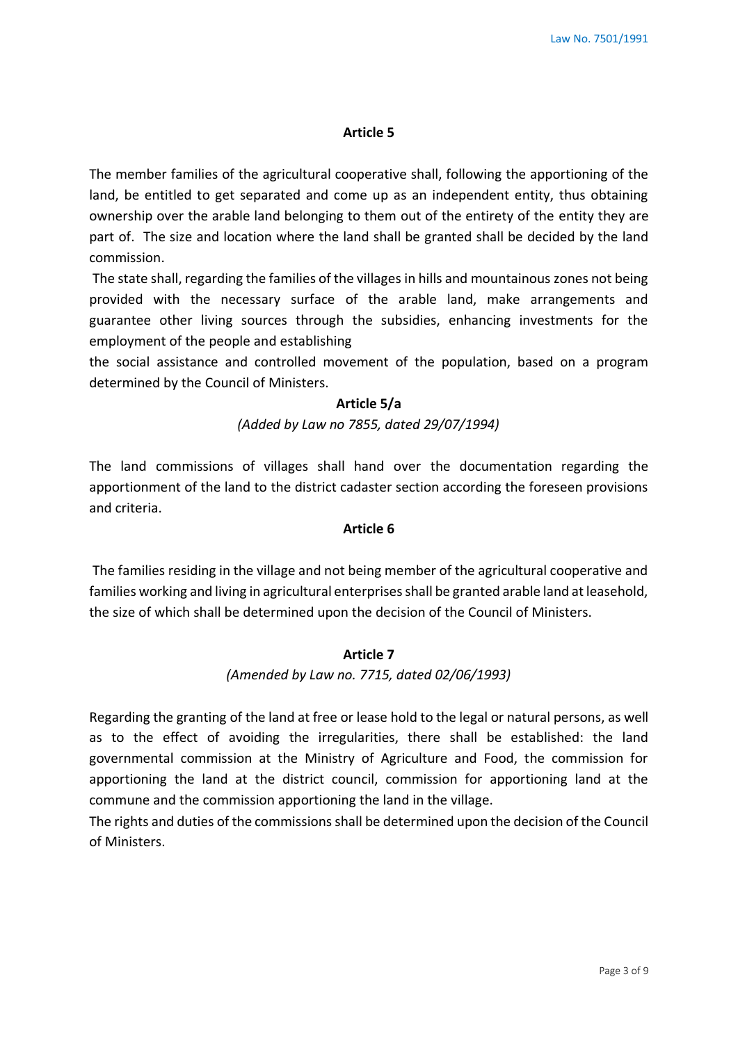The member families of the agricultural cooperative shall, following the apportioning of the land, be entitled to get separated and come up as an independent entity, thus obtaining ownership over the arable land belonging to them out of the entirety of the entity they are part of. The size and location where the land shall be granted shall be decided by the land commission.

The state shall, regarding the families of the villages in hills and mountainous zones not being provided with the necessary surface of the arable land, make arrangements and guarantee other living sources through the subsidies, enhancing investments for the employment of the people and establishing

the social assistance and controlled movement of the population, based on a program determined by the Council of Ministers.

#### **Article 5/a**

*(Added by Law no 7855, dated 29/07/1994)*

The land commissions of villages shall hand over the documentation regarding the apportionment of the land to the district cadaster section according the foreseen provisions and criteria.

### **Article 6**

The families residing in the village and not being member of the agricultural cooperative and families working and living in agricultural enterprises shall be granted arable land at leasehold, the size of which shall be determined upon the decision of the Council of Ministers.

### **Article 7**

*(Amended by Law no. 7715, dated 02/06/1993)* 

Regarding the granting of the land at free or lease hold to the legal or natural persons, as well as to the effect of avoiding the irregularities, there shall be established: the land governmental commission at the Ministry of Agriculture and Food, the commission for apportioning the land at the district council, commission for apportioning land at the commune and the commission apportioning the land in the village.

The rights and duties of the commissions shall be determined upon the decision of the Council of Ministers.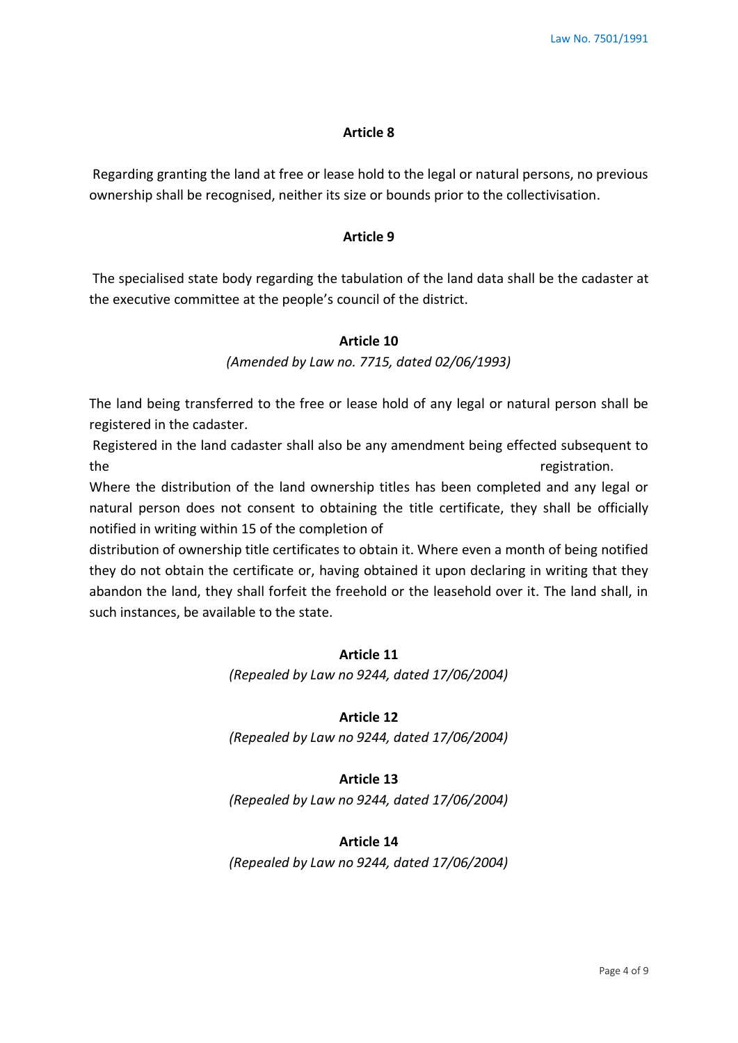Regarding granting the land at free or lease hold to the legal or natural persons, no previous ownership shall be recognised, neither its size or bounds prior to the collectivisation.

#### **Article 9**

The specialised state body regarding the tabulation of the land data shall be the cadaster at the executive committee at the people's council of the district.

### **Article 10**

*(Amended by Law no. 7715, dated 02/06/1993)*

The land being transferred to the free or lease hold of any legal or natural person shall be registered in the cadaster.

Registered in the land cadaster shall also be any amendment being effected subsequent to the registration.

Where the distribution of the land ownership titles has been completed and any legal or natural person does not consent to obtaining the title certificate, they shall be officially notified in writing within 15 of the completion of

distribution of ownership title certificates to obtain it. Where even a month of being notified they do not obtain the certificate or, having obtained it upon declaring in writing that they abandon the land, they shall forfeit the freehold or the leasehold over it. The land shall, in such instances, be available to the state.

### **Article 11**

*(Repealed by Law no 9244, dated 17/06/2004)*

### **Article 12**

*(Repealed by Law no 9244, dated 17/06/2004)*

#### **Article 13**

*(Repealed by Law no 9244, dated 17/06/2004)*

### **Article 14**

*(Repealed by Law no 9244, dated 17/06/2004)*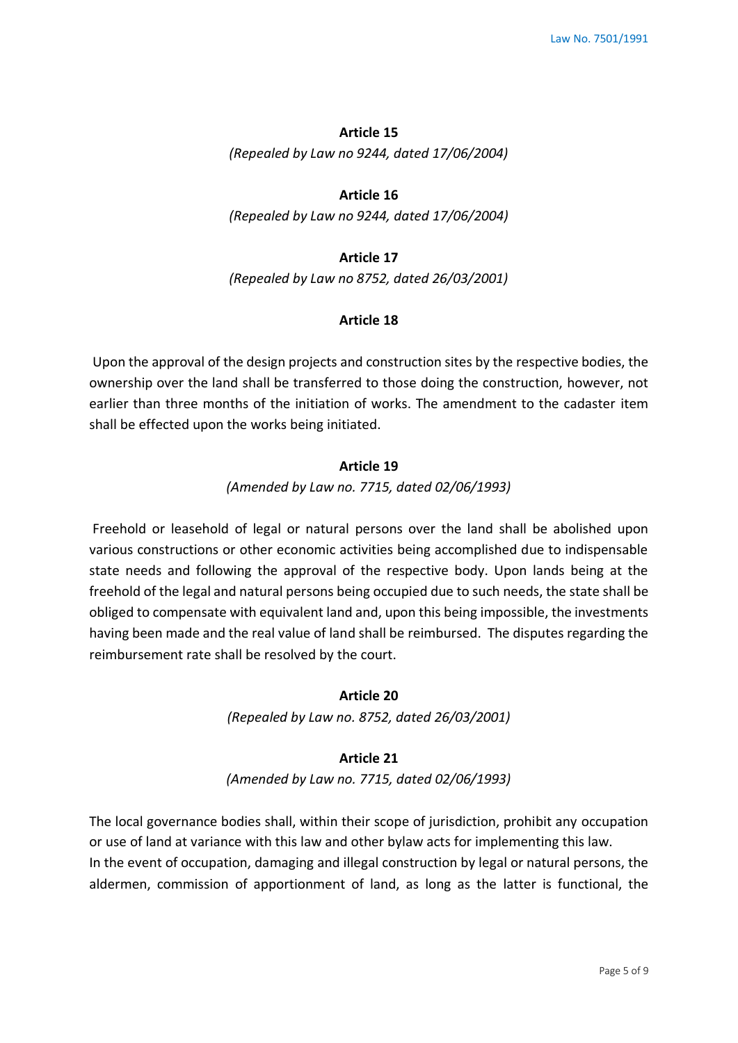*(Repealed by Law no 9244, dated 17/06/2004)*

### **Article 16**

*(Repealed by Law no 9244, dated 17/06/2004)*

#### **Article 17**

*(Repealed by Law no 8752, dated 26/03/2001)* 

#### **Article 18**

Upon the approval of the design projects and construction sites by the respective bodies, the ownership over the land shall be transferred to those doing the construction, however, not earlier than three months of the initiation of works. The amendment to the cadaster item shall be effected upon the works being initiated.

### **Article 19**

*(Amended by Law no. 7715, dated 02/06/1993)* 

Freehold or leasehold of legal or natural persons over the land shall be abolished upon various constructions or other economic activities being accomplished due to indispensable state needs and following the approval of the respective body. Upon lands being at the freehold of the legal and natural persons being occupied due to such needs, the state shall be obliged to compensate with equivalent land and, upon this being impossible, the investments having been made and the real value of land shall be reimbursed. The disputes regarding the reimbursement rate shall be resolved by the court.

### **Article 20**

*(Repealed by Law no. 8752, dated 26/03/2001)* 

#### **Article 21**

*(Amended by Law no. 7715, dated 02/06/1993)* 

The local governance bodies shall, within their scope of jurisdiction, prohibit any occupation or use of land at variance with this law and other bylaw acts for implementing this law. In the event of occupation, damaging and illegal construction by legal or natural persons, the aldermen, commission of apportionment of land, as long as the latter is functional, the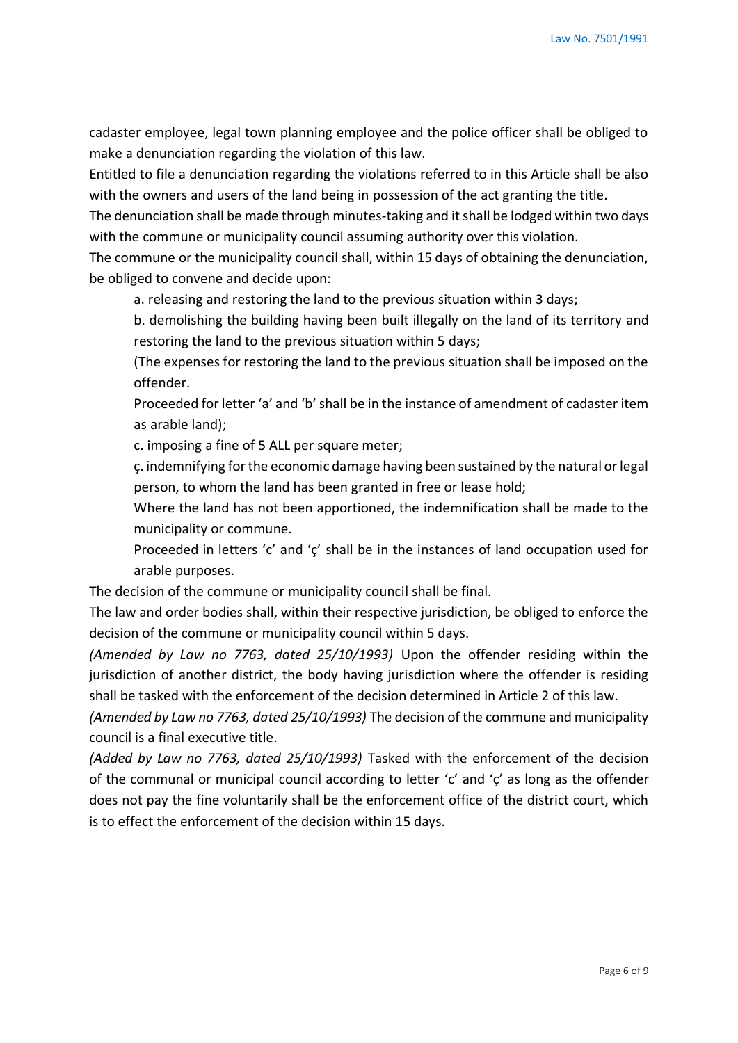cadaster employee, legal town planning employee and the police officer shall be obliged to make a denunciation regarding the violation of this law.

Entitled to file a denunciation regarding the violations referred to in this Article shall be also with the owners and users of the land being in possession of the act granting the title.

The denunciation shall be made through minutes-taking and it shall be lodged within two days with the commune or municipality council assuming authority over this violation.

The commune or the municipality council shall, within 15 days of obtaining the denunciation, be obliged to convene and decide upon:

a. releasing and restoring the land to the previous situation within 3 days;

b. demolishing the building having been built illegally on the land of its territory and restoring the land to the previous situation within 5 days;

(The expenses for restoring the land to the previous situation shall be imposed on the offender.

Proceeded for letter 'a' and 'b' shall be in the instance of amendment of cadaster item as arable land);

c. imposing a fine of 5 ALL per square meter;

ç. indemnifying for the economic damage having been sustained by the natural or legal person, to whom the land has been granted in free or lease hold;

Where the land has not been apportioned, the indemnification shall be made to the municipality or commune.

Proceeded in letters 'c' and 'ç' shall be in the instances of land occupation used for arable purposes.

The decision of the commune or municipality council shall be final.

The law and order bodies shall, within their respective jurisdiction, be obliged to enforce the decision of the commune or municipality council within 5 days.

*(Amended by Law no 7763, dated 25/10/1993)* Upon the offender residing within the jurisdiction of another district, the body having jurisdiction where the offender is residing shall be tasked with the enforcement of the decision determined in Article 2 of this law.

*(Amended by Law no 7763, dated 25/10/1993)* The decision of the commune and municipality council is a final executive title.

*(Added by Law no 7763, dated 25/10/1993)* Tasked with the enforcement of the decision of the communal or municipal council according to letter 'c' and 'ç' as long as the offender does not pay the fine voluntarily shall be the enforcement office of the district court, which is to effect the enforcement of the decision within 15 days.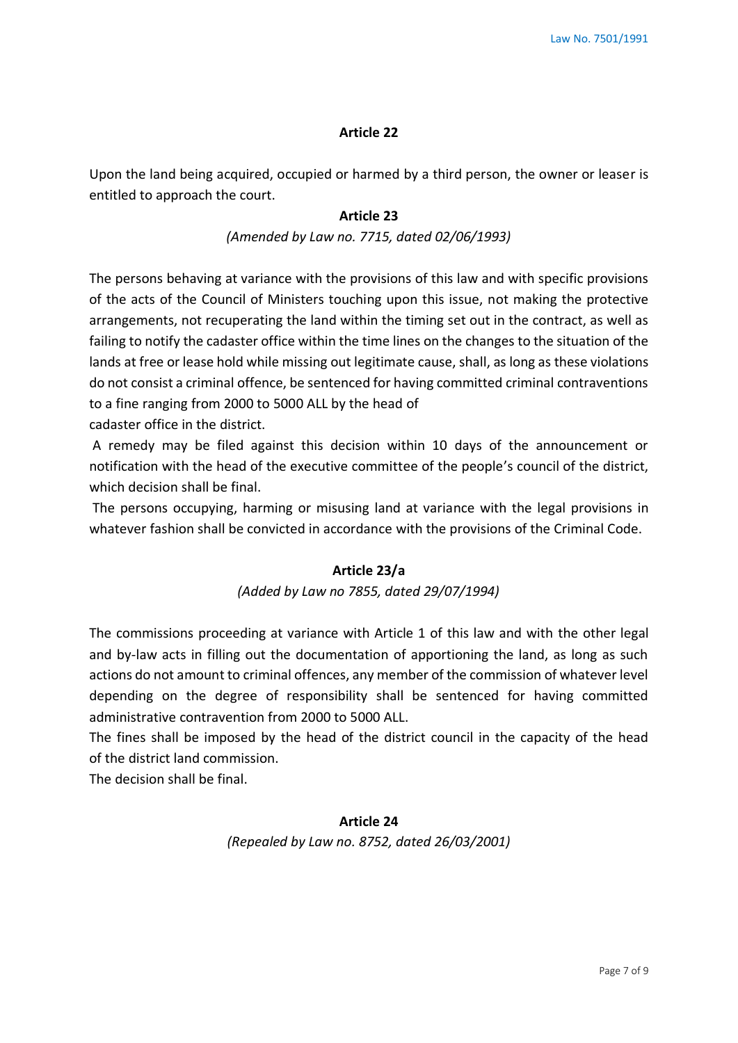Upon the land being acquired, occupied or harmed by a third person, the owner or leaser is entitled to approach the court.

#### **Article 23**

### *(Amended by Law no. 7715, dated 02/06/1993)*

The persons behaving at variance with the provisions of this law and with specific provisions of the acts of the Council of Ministers touching upon this issue, not making the protective arrangements, not recuperating the land within the timing set out in the contract, as well as failing to notify the cadaster office within the time lines on the changes to the situation of the lands at free or lease hold while missing out legitimate cause, shall, as long as these violations do not consist a criminal offence, be sentenced for having committed criminal contraventions to a fine ranging from 2000 to 5000 ALL by the head of cadaster office in the district.

A remedy may be filed against this decision within 10 days of the announcement or notification with the head of the executive committee of the people's council of the district, which decision shall be final.

The persons occupying, harming or misusing land at variance with the legal provisions in whatever fashion shall be convicted in accordance with the provisions of the Criminal Code.

### **Article 23/a**

#### *(Added by Law no 7855, dated 29/07/1994)*

The commissions proceeding at variance with Article 1 of this law and with the other legal and by-law acts in filling out the documentation of apportioning the land, as long as such actions do not amount to criminal offences, any member of the commission of whatever level depending on the degree of responsibility shall be sentenced for having committed administrative contravention from 2000 to 5000 ALL.

The fines shall be imposed by the head of the district council in the capacity of the head of the district land commission.

The decision shall be final.

### **Article 24**

*(Repealed by Law no. 8752, dated 26/03/2001)*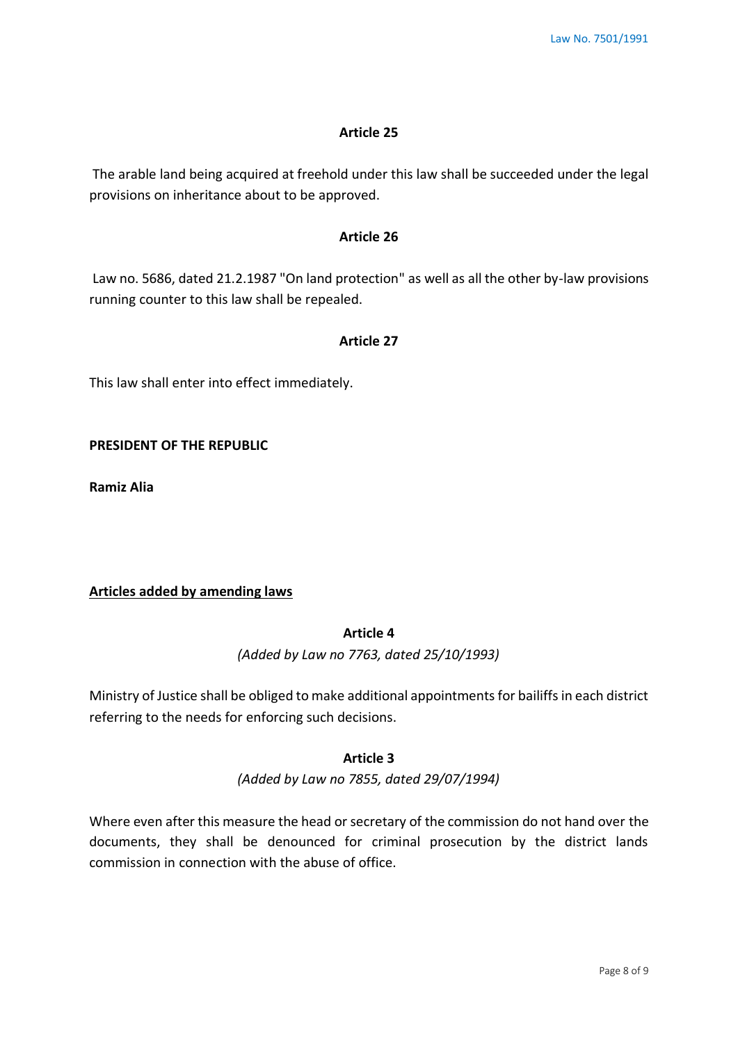The arable land being acquired at freehold under this law shall be succeeded under the legal provisions on inheritance about to be approved.

## **Article 26**

Law no. 5686, dated 21.2.1987 "On land protection" as well as all the other by-law provisions running counter to this law shall be repealed.

### **Article 27**

This law shall enter into effect immediately.

**PRESIDENT OF THE REPUBLIC** 

**Ramiz Alia** 

## **Articles added by amending laws**

## **Article 4**

*(Added by Law no 7763, dated 25/10/1993)*

Ministry of Justice shall be obliged to make additional appointments for bailiffs in each district referring to the needs for enforcing such decisions.

#### **Article 3**

*(Added by Law no 7855, dated 29/07/1994)*

Where even after this measure the head or secretary of the commission do not hand over the documents, they shall be denounced for criminal prosecution by the district lands commission in connection with the abuse of office.